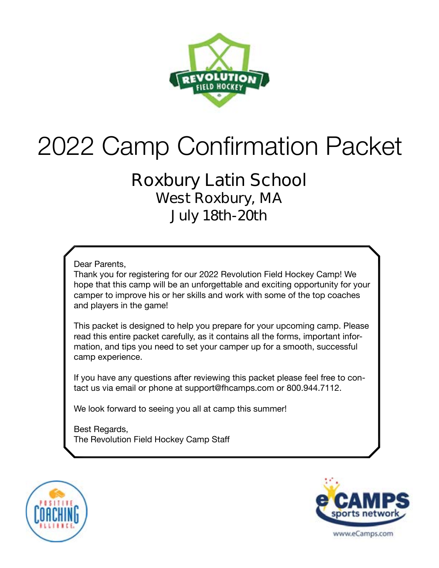

# 2022 Camp Confirmation Packet

# **Roxbury Latin School West Roxbury, MA July 18th-20th**

Dear Parents,

Thank you for registering for our 2022 Revolution Field Hockey Camp! We hope that this camp will be an unforgettable and exciting opportunity for your camper to improve his or her skills and work with some of the top coaches and players in the game!

This packet is designed to help you prepare for your upcoming camp. Please read this entire packet carefully, as it contains all the forms, important information, and tips you need to set your camper up for a smooth, successful camp experience.

If you have any questions after reviewing this packet please feel free to contact us via email or phone at support@fhcamps.com or 800.944.7112.

We look forward to seeing you all at camp this summer!

Best Regards, The Revolution Field Hockey Camp Staff



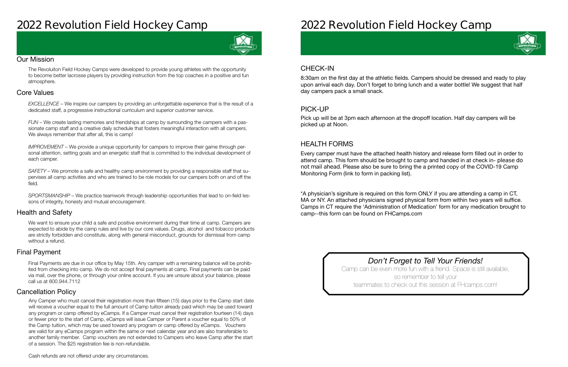# **2022 Revolution Field Hockey Camp**



#### Our Mission

The Revoluiton Field Hockey Camps were developed to provide young athletes with the opportunity to become better lacrosse players by providing instruction from the top coaches in a positive and fun atmosphere.

### Health and Safety

We want to ensure your child a safe and positive environment during their time at camp. Campers are expected to abide by the camp rules and live by our core values. Drugs, alcohol and tobacco products are strictly forbidden and constitute, along with general misconduct, grounds for dismissal from camp without a refund.

### Cancellation Policy

## Final Payment

#### Core Values

*EXCELLENCE* – We inspire our campers by providing an unforgettable experience that is the result of a dedicated staff, a progressive instructional curriculum and superior customer service.

*FUN* – We create lasting memories and friendships at camp by surrounding the campers with a passionate camp staff and a creative daily schedule that fosters meaningful interaction with all campers. We always remember that after all, this is camp!

*IMPROVEMENT* – We provide a unique opportunity for campers to improve their game through personal attention, setting goals and an energetic staff that is committed to the individual development of each camper.

*SAFETY* – We promote a safe and healthy camp environment by providing a responsible staff that supervises all camp activities and who are trained to be role models for our campers both on and off the field.

*SPORTSMANSHIP* – We practice teamwork through leadership opportunities that lead to on-field lessons of integrity, honesty and mutual encouragement.

Final Payments are due in our office by May 15th. Any camper with a remaining balance will be prohibited from checking into camp. We do not accept final payments at camp. Final payments can be paid via mail, over the phone, or through your online account. If you are unsure about your balance, please call us at 800.944.7112

Any Camper who must cancel their registration more than fifteen (15) days prior to the Camp start date will receive a voucher equal to the full amount of Camp tuition already paid which may be used toward any program or camp offered by eCamps. If a Camper must cancel their registration fourteen (14) days or fewer prior to the start of Camp, eCamps will issue Camper or Parent a voucher equal to 50% of the Camp tuition, which may be used toward any program or camp offered by eCamps. Vouchers are valid for any eCamps program within the same or next calendar year and are also transferable to another family member. Camp vouchers are not extended to Campers who leave Camp after the start of a session. The \$25 registration fee is non-refundable.

# **2022 Revolution Field Hockey Camp**

# CHECK-IN

## PICK-UP

## HEALTH FORMS

8:30am on the first day at the athletic fields. Campers should be dressed and ready to play upon arrival each day. Don't forget to bring lunch and a water bottle! We suggest that half day campers pack a small snack.

Pick up will be at 3pm each afternoon at the dropoff location. Half day campers will be picked up at Noon.

Every camper must have the attached health history and release form filled out in order to attend camp. This form should be brought to camp and handed in at check in- **please do not mail ahead**. Please also be sure to bring the a printed copy of the COVID-19 Camp Monitoring Form (link to form in packing list).

\*A physician's signiture is required on this form ONLY if you are attending a camp in CT, MA or NY. An attached physicians signed physical form from within two years will suffice. Camps in CT require the 'Administration of Medication' form for any medication brought to camp--this form can be found on FHCamps.com

> *Don't Forget to Tell Your Friends!* Camp can be even more fun with a friend. Space is still available, so remember to tell your teammates to check out this session at FHcamps.com!